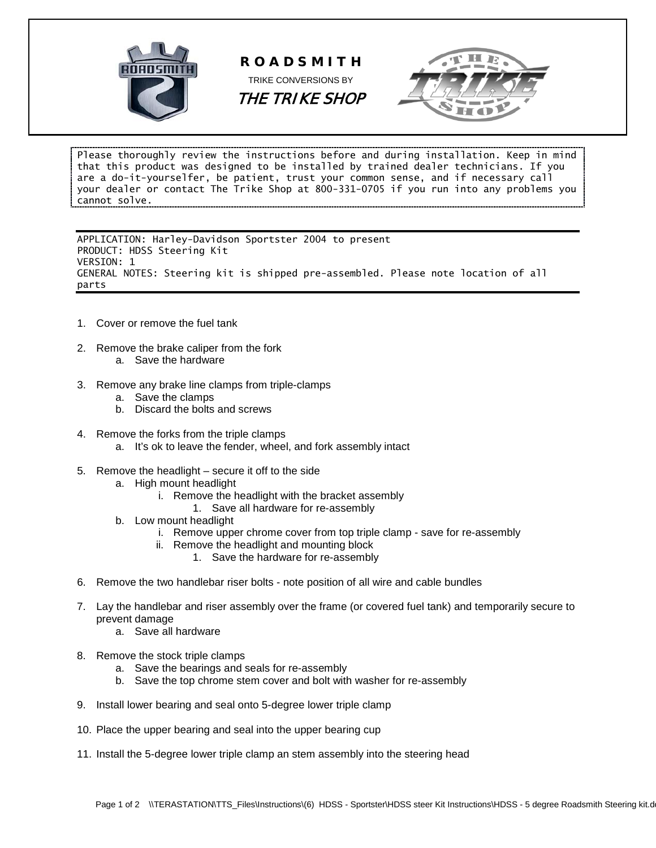





Please thoroughly review the instructions before and during installation. Keep in mind that this product was designed to be installed by trained dealer technicians. If you are a do-it-yourselfer, be patient, trust your common sense, and if necessary call your dealer or contact The Trike Shop at 800-331-0705 if you run into any problems you cannot solve.

APPLICATION: Harley-Davidson Sportster 2004 to present PRODUCT: HDSS Steering Kit VERSION: 1 GENERAL NOTES: Steering kit is shipped pre-assembled. Please note location of all parts

- 1. Cover or remove the fuel tank
- 2. Remove the brake caliper from the fork a. Save the hardware
- 3. Remove any brake line clamps from triple-clamps
	- a. Save the clamps
	- b. Discard the bolts and screws
- 4. Remove the forks from the triple clamps
	- a. It's ok to leave the fender, wheel, and fork assembly intact
- 5. Remove the headlight secure it off to the side
	- a. High mount headlight
		- i. Remove the headlight with the bracket assembly
			- 1. Save all hardware for re-assembly
	- b. Low mount headlight
		- i. Remove upper chrome cover from top triple clamp save for re-assembly
		- ii. Remove the headlight and mounting block
			- 1. Save the hardware for re-assembly
- 6. Remove the two handlebar riser bolts note position of all wire and cable bundles
- 7. Lay the handlebar and riser assembly over the frame (or covered fuel tank) and temporarily secure to prevent damage
	- a. Save all hardware
- 8. Remove the stock triple clamps
	- a. Save the bearings and seals for re-assembly
	- b. Save the top chrome stem cover and bolt with washer for re-assembly
- 9. Install lower bearing and seal onto 5-degree lower triple clamp
- 10. Place the upper bearing and seal into the upper bearing cup
- 11. Install the 5-degree lower triple clamp an stem assembly into the steering head